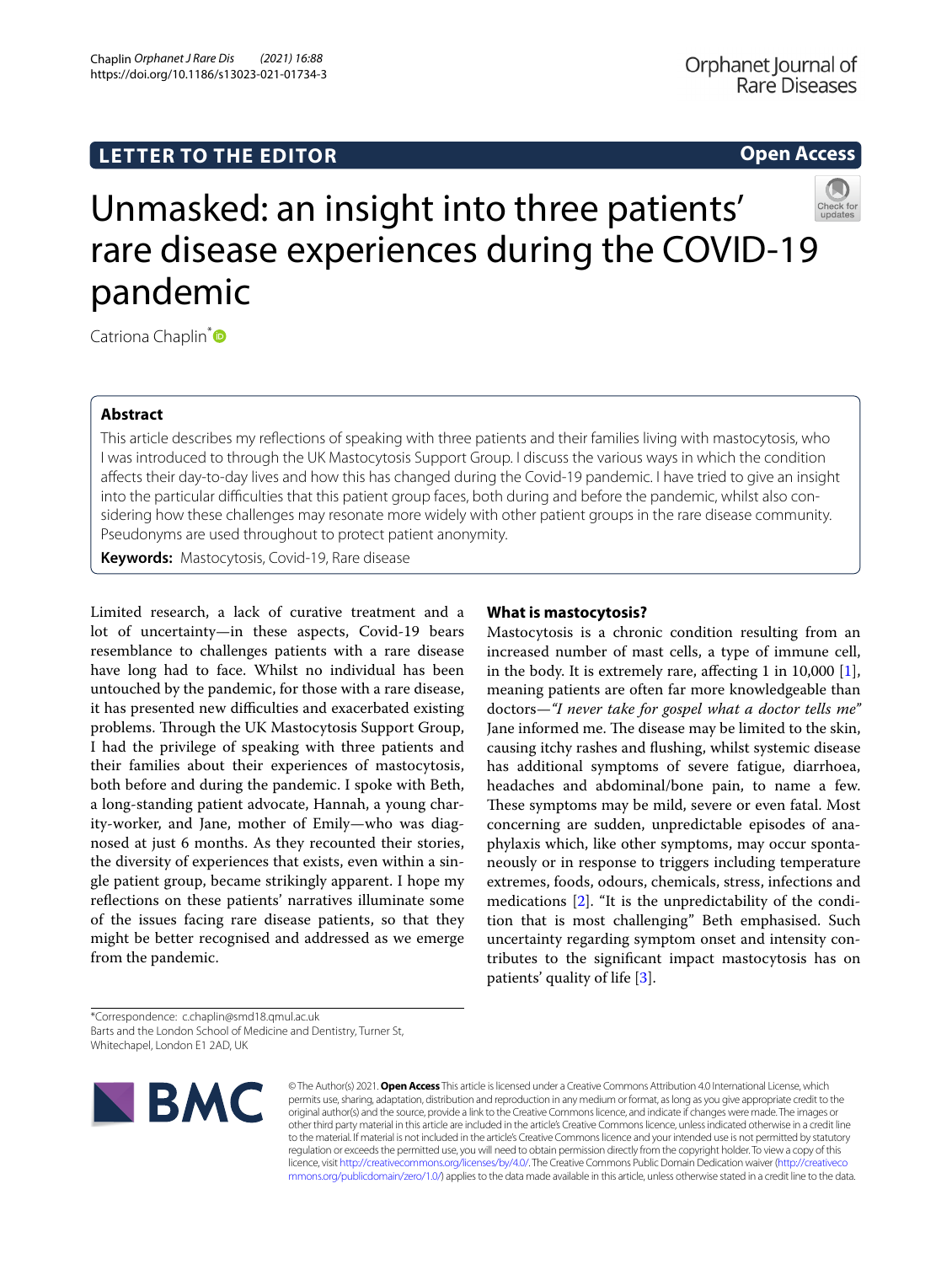# **LETTER TO THE EDITOR**

**Open Access**



Catriona Chaplin<sup>[\\*](http://orcid.org/0000-0001-8401-719X)</sup>

## **Abstract**

This article describes my refections of speaking with three patients and their families living with mastocytosis, who I was introduced to through the UK Mastocytosis Support Group. I discuss the various ways in which the condition afects their day-to-day lives and how this has changed during the Covid-19 pandemic. I have tried to give an insight into the particular difculties that this patient group faces, both during and before the pandemic, whilst also considering how these challenges may resonate more widely with other patient groups in the rare disease community. Pseudonyms are used throughout to protect patient anonymity.

**Keywords:** Mastocytosis, Covid-19, Rare disease

Limited research, a lack of curative treatment and a lot of uncertainty—in these aspects, Covid-19 bears resemblance to challenges patients with a rare disease have long had to face. Whilst no individual has been untouched by the pandemic, for those with a rare disease, it has presented new difficulties and exacerbated existing problems. Through the UK Mastocytosis Support Group, I had the privilege of speaking with three patients and their families about their experiences of mastocytosis, both before and during the pandemic. I spoke with Beth, a long-standing patient advocate, Hannah, a young charity-worker, and Jane, mother of Emily—who was diagnosed at just 6 months. As they recounted their stories, the diversity of experiences that exists, even within a single patient group, became strikingly apparent. I hope my refections on these patients' narratives illuminate some of the issues facing rare disease patients, so that they might be better recognised and addressed as we emerge from the pandemic.

### **What is mastocytosis?**

Mastocytosis is a chronic condition resulting from an increased number of mast cells, a type of immune cell, in the body. It is extremely rare, afecting 1 in 10,000 [\[1](#page-2-0)], meaning patients are often far more knowledgeable than doctors—*"I never take for gospel what a doctor tells me"* Jane informed me. The disease may be limited to the skin, causing itchy rashes and fushing, whilst systemic disease has additional symptoms of severe fatigue, diarrhoea, headaches and abdominal/bone pain, to name a few. These symptoms may be mild, severe or even fatal. Most concerning are sudden, unpredictable episodes of anaphylaxis which, like other symptoms, may occur spontaneously or in response to triggers including temperature extremes, foods, odours, chemicals, stress, infections and medications [\[2](#page-2-1)]. "It is the unpredictability of the condition that is most challenging" Beth emphasised. Such uncertainty regarding symptom onset and intensity contributes to the signifcant impact mastocytosis has on patients' quality of life [\[3](#page-2-2)].

\*Correspondence: c.chaplin@smd18.qmul.ac.uk Barts and the London School of Medicine and Dentistry, Turner St, Whitechapel, London E1 2AD, UK



© The Author(s) 2021. **Open Access** This article is licensed under a Creative Commons Attribution 4.0 International License, which permits use, sharing, adaptation, distribution and reproduction in any medium or format, as long as you give appropriate credit to the original author(s) and the source, provide a link to the Creative Commons licence, and indicate if changes were made. The images or other third party material in this article are included in the article's Creative Commons licence, unless indicated otherwise in a credit line to the material. If material is not included in the article's Creative Commons licence and your intended use is not permitted by statutory regulation or exceeds the permitted use, you will need to obtain permission directly from the copyright holder. To view a copy of this licence, visit [http://creativecommons.org/licenses/by/4.0/.](http://creativecommons.org/licenses/by/4.0/) The Creative Commons Public Domain Dedication waiver ([http://creativeco](http://creativecommons.org/publicdomain/zero/1.0/) [mmons.org/publicdomain/zero/1.0/](http://creativecommons.org/publicdomain/zero/1.0/)) applies to the data made available in this article, unless otherwise stated in a credit line to the data.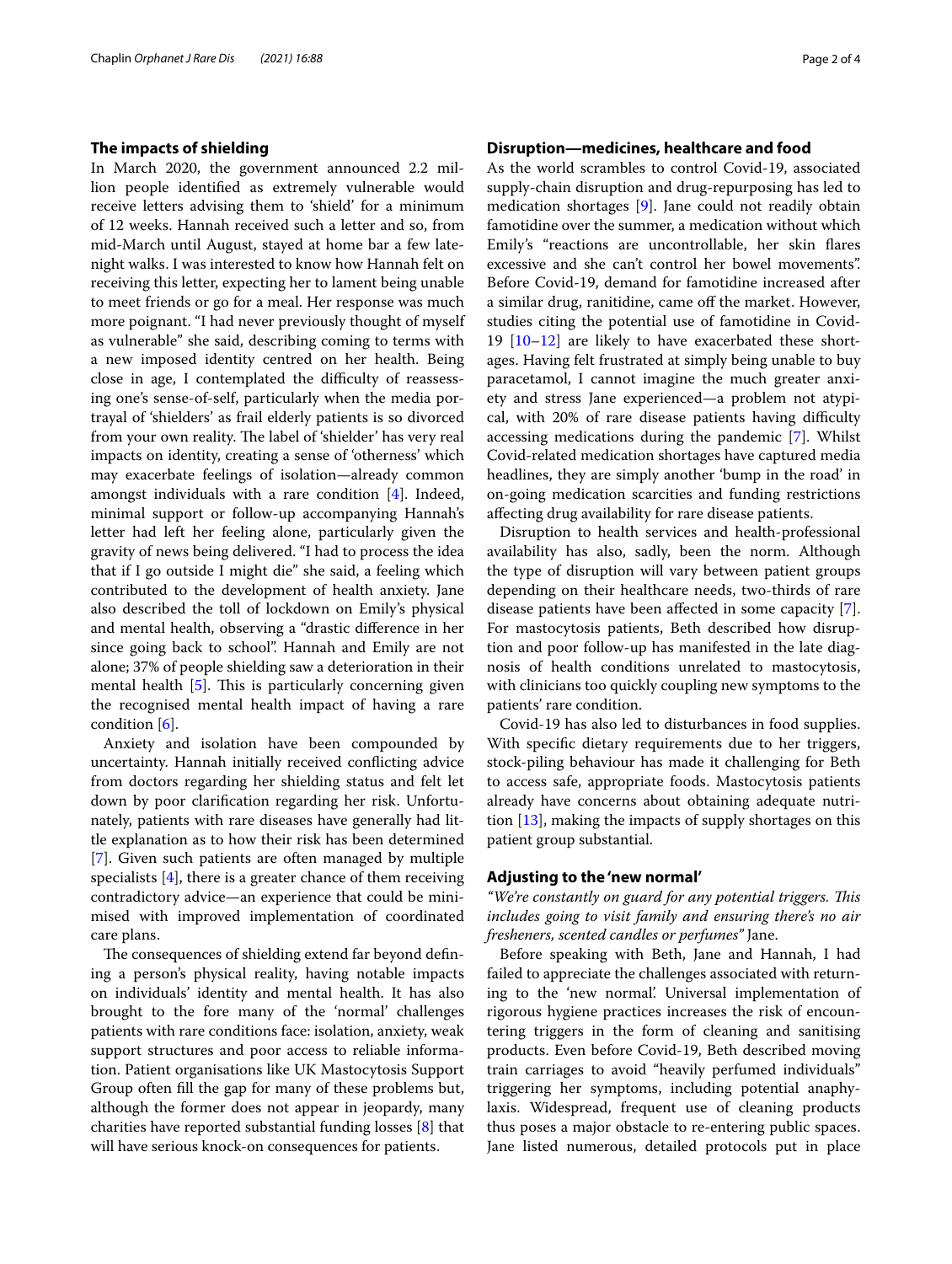### **The impacts of shielding**

In March 2020, the government announced 2.2 million people identifed as extremely vulnerable would receive letters advising them to 'shield' for a minimum of 12 weeks. Hannah received such a letter and so, from mid-March until August, stayed at home bar a few latenight walks. I was interested to know how Hannah felt on receiving this letter, expecting her to lament being unable to meet friends or go for a meal. Her response was much more poignant. "I had never previously thought of myself as vulnerable" she said, describing coming to terms with a new imposed identity centred on her health. Being close in age, I contemplated the difficulty of reassessing one's sense-of-self, particularly when the media portrayal of 'shielders' as frail elderly patients is so divorced from your own reality. The label of 'shielder' has very real impacts on identity, creating a sense of 'otherness' which may exacerbate feelings of isolation—already common amongst individuals with a rare condition [\[4\]](#page-2-3). Indeed, minimal support or follow-up accompanying Hannah's letter had left her feeling alone, particularly given the gravity of news being delivered. "I had to process the idea that if I go outside I might die" she said, a feeling which contributed to the development of health anxiety. Jane also described the toll of lockdown on Emily's physical and mental health, observing a "drastic diference in her since going back to school". Hannah and Emily are not alone; 37% of people shielding saw a deterioration in their mental health  $[5]$  $[5]$ . This is particularly concerning given the recognised mental health impact of having a rare condition [[6](#page-2-5)].

Anxiety and isolation have been compounded by uncertainty. Hannah initially received conficting advice from doctors regarding her shielding status and felt let down by poor clarifcation regarding her risk. Unfortunately, patients with rare diseases have generally had little explanation as to how their risk has been determined [[7\]](#page-2-6). Given such patients are often managed by multiple specialists [\[4\]](#page-2-3), there is a greater chance of them receiving contradictory advice—an experience that could be minimised with improved implementation of coordinated care plans.

The consequences of shielding extend far beyond defining a person's physical reality, having notable impacts on individuals' identity and mental health. It has also brought to the fore many of the 'normal' challenges patients with rare conditions face: isolation, anxiety, weak support structures and poor access to reliable information. Patient organisations like UK Mastocytosis Support Group often fll the gap for many of these problems but, although the former does not appear in jeopardy, many charities have reported substantial funding losses [[8\]](#page-2-7) that will have serious knock-on consequences for patients.

### **Disruption—medicines, healthcare and food**

As the world scrambles to control Covid-19, associated supply-chain disruption and drug-repurposing has led to medication shortages [[9\]](#page-2-8). Jane could not readily obtain famotidine over the summer, a medication without which Emily's "reactions are uncontrollable, her skin fares excessive and she can't control her bowel movements". Before Covid-19, demand for famotidine increased after a similar drug, ranitidine, came of the market. However, studies citing the potential use of famotidine in Covid-19  $[10-12]$  $[10-12]$  are likely to have exacerbated these shortages. Having felt frustrated at simply being unable to buy paracetamol, I cannot imagine the much greater anxiety and stress Jane experienced—a problem not atypical, with 20% of rare disease patients having difficulty accessing medications during the pandemic [[7](#page-2-6)]. Whilst Covid-related medication shortages have captured media headlines, they are simply another 'bump in the road' in on-going medication scarcities and funding restrictions afecting drug availability for rare disease patients.

Disruption to health services and health-professional availability has also, sadly, been the norm. Although the type of disruption will vary between patient groups depending on their healthcare needs, two-thirds of rare disease patients have been afected in some capacity [\[7](#page-2-6)]. For mastocytosis patients, Beth described how disruption and poor follow-up has manifested in the late diagnosis of health conditions unrelated to mastocytosis, with clinicians too quickly coupling new symptoms to the patients' rare condition.

Covid-19 has also led to disturbances in food supplies. With specifc dietary requirements due to her triggers, stock-piling behaviour has made it challenging for Beth to access safe, appropriate foods. Mastocytosis patients already have concerns about obtaining adequate nutrition [\[13\]](#page-3-1), making the impacts of supply shortages on this patient group substantial.

### **Adjusting to the 'new normal'**

*"We're constantly on guard for any potential triggers. Tis includes going to visit family and ensuring there's no air fresheners, scented candles or perfumes"* Jane.

Before speaking with Beth, Jane and Hannah, I had failed to appreciate the challenges associated with returning to the 'new normal'. Universal implementation of rigorous hygiene practices increases the risk of encountering triggers in the form of cleaning and sanitising products. Even before Covid-19, Beth described moving train carriages to avoid "heavily perfumed individuals" triggering her symptoms, including potential anaphylaxis. Widespread, frequent use of cleaning products thus poses a major obstacle to re-entering public spaces. Jane listed numerous, detailed protocols put in place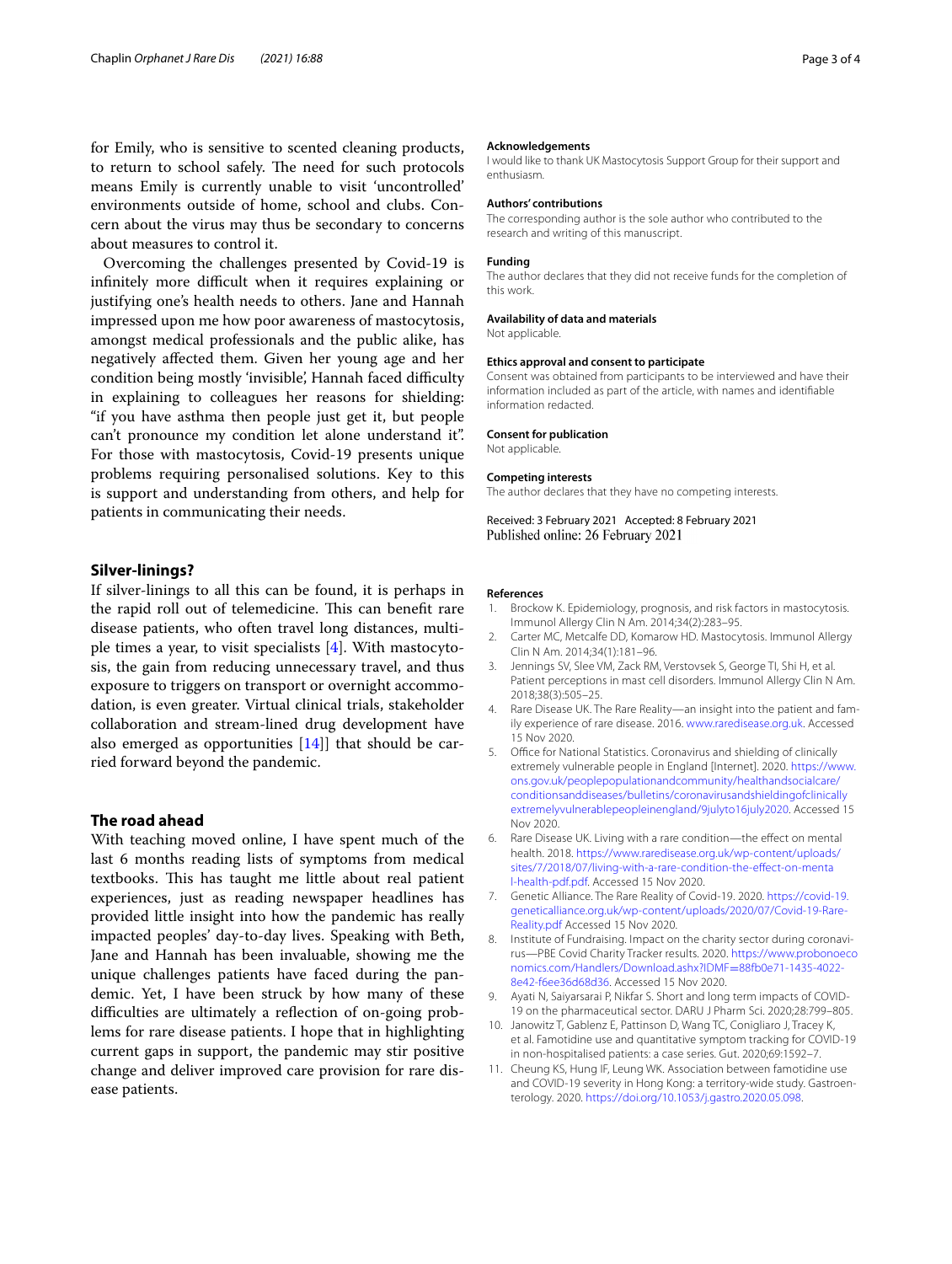for Emily, who is sensitive to scented cleaning products, to return to school safely. The need for such protocols means Emily is currently unable to visit 'uncontrolled' environments outside of home, school and clubs. Concern about the virus may thus be secondary to concerns about measures to control it.

Overcoming the challenges presented by Covid-19 is infinitely more difficult when it requires explaining or justifying one's health needs to others. Jane and Hannah impressed upon me how poor awareness of mastocytosis, amongst medical professionals and the public alike, has negatively afected them. Given her young age and her condition being mostly 'invisible', Hannah faced difficulty in explaining to colleagues her reasons for shielding: "if you have asthma then people just get it, but people can't pronounce my condition let alone understand it". For those with mastocytosis, Covid-19 presents unique problems requiring personalised solutions. Key to this is support and understanding from others, and help for patients in communicating their needs.

### **Silver‑linings?**

If silver-linings to all this can be found, it is perhaps in the rapid roll out of telemedicine. This can benefit rare disease patients, who often travel long distances, multiple times a year, to visit specialists  $[4]$  $[4]$ . With mastocytosis, the gain from reducing unnecessary travel, and thus exposure to triggers on transport or overnight accommodation, is even greater. Virtual clinical trials, stakeholder collaboration and stream-lined drug development have also emerged as opportunities  $[14]$  that should be carried forward beyond the pandemic.

### **The road ahead**

With teaching moved online, I have spent much of the last 6 months reading lists of symptoms from medical textbooks. This has taught me little about real patient experiences, just as reading newspaper headlines has provided little insight into how the pandemic has really impacted peoples' day-to-day lives. Speaking with Beth, Jane and Hannah has been invaluable, showing me the unique challenges patients have faced during the pandemic. Yet, I have been struck by how many of these difficulties are ultimately a reflection of on-going problems for rare disease patients. I hope that in highlighting current gaps in support, the pandemic may stir positive change and deliver improved care provision for rare disease patients.

#### **Acknowledgements**

I would like to thank UK Mastocytosis Support Group for their support and enthusiasm.

#### **Authors' contributions**

The corresponding author is the sole author who contributed to the research and writing of this manuscript.

#### **Funding**

The author declares that they did not receive funds for the completion of this work.

### **Availability of data and materials**

Not applicable.

#### **Ethics approval and consent to participate**

Consent was obtained from participants to be interviewed and have their information included as part of the article, with names and identifable information redacted.

#### **Consent for publication**

Not applicable.

#### **Competing interests**

The author declares that they have no competing interests.

Received: 3 February 2021 Accepted: 8 February 2021 Published online: 26 February 2021

#### **References**

- <span id="page-2-0"></span>1. Brockow K. Epidemiology, prognosis, and risk factors in mastocytosis. Immunol Allergy Clin N Am. 2014;34(2):283–95.
- <span id="page-2-1"></span>2. Carter MC, Metcalfe DD, Komarow HD. Mastocytosis. Immunol Allergy Clin N Am. 2014;34(1):181–96.
- <span id="page-2-2"></span>3. Jennings SV, Slee VM, Zack RM, Verstovsek S, George TI, Shi H, et al. Patient perceptions in mast cell disorders. Immunol Allergy Clin N Am. 2018;38(3):505–25.
- <span id="page-2-3"></span>4. Rare Disease UK. The Rare Reality—an insight into the patient and family experience of rare disease. 2016. [www.raredisease.org.uk.](http://www.raredisease.org.uk) Accessed 15 Nov 2020.
- <span id="page-2-4"></span>5. Office for National Statistics. Coronavirus and shielding of clinically extremely vulnerable people in England [Internet]. 2020. [https://www.](https://www.ons.gov.uk/peoplepopulationandcommunity/healthandsocialcare/conditionsanddiseases/bulletins/coronavirusandshieldingofclinicallyextremelyvulnerablepeopleinengland/9julyto16july2020) [ons.gov.uk/peoplepopulationandcommunity/healthandsocialcare/](https://www.ons.gov.uk/peoplepopulationandcommunity/healthandsocialcare/conditionsanddiseases/bulletins/coronavirusandshieldingofclinicallyextremelyvulnerablepeopleinengland/9julyto16july2020) [conditionsanddiseases/bulletins/coronavirusandshieldingofclinically](https://www.ons.gov.uk/peoplepopulationandcommunity/healthandsocialcare/conditionsanddiseases/bulletins/coronavirusandshieldingofclinicallyextremelyvulnerablepeopleinengland/9julyto16july2020) [extremelyvulnerablepeopleinengland/9julyto16july2020.](https://www.ons.gov.uk/peoplepopulationandcommunity/healthandsocialcare/conditionsanddiseases/bulletins/coronavirusandshieldingofclinicallyextremelyvulnerablepeopleinengland/9julyto16july2020) Accessed 15 Nov 2020.
- <span id="page-2-5"></span>6. Rare Disease UK. Living with a rare condition—the efect on mental health. 2018. [https://www.raredisease.org.uk/wp-content/uploads/](https://www.raredisease.org.uk/wp-content/uploads/sites/7/2018/07/living-with-a-rare-condition-the-effect-on-mental-health-pdf.pdf) sites/7/2018/07/living-with-a-rare-condition-the-effect-on-menta [l-health-pdf.pdf.](https://www.raredisease.org.uk/wp-content/uploads/sites/7/2018/07/living-with-a-rare-condition-the-effect-on-mental-health-pdf.pdf) Accessed 15 Nov 2020.
- <span id="page-2-6"></span>7. Genetic Alliance. The Rare Reality of Covid-19. 2020. [https://covid-19.](https://covid-19.geneticalliance.org.uk/wp-content/uploads/2020/07/Covid-19-Rare-Reality.pdf) [geneticalliance.org.uk/wp-content/uploads/2020/07/Covid-19-Rare-](https://covid-19.geneticalliance.org.uk/wp-content/uploads/2020/07/Covid-19-Rare-Reality.pdf)[Reality.pdf](https://covid-19.geneticalliance.org.uk/wp-content/uploads/2020/07/Covid-19-Rare-Reality.pdf) Accessed 15 Nov 2020.
- <span id="page-2-7"></span>8. Institute of Fundraising. Impact on the charity sector during coronavirus—PBE Covid Charity Tracker results. 2020. [https://www.probonoeco](https://www.probonoeconomics.com/Handlers/Download.ashx?IDMF=88fb0e71-1435-4022-8e42-f6ee36d68d36) [nomics.com/Handlers/Download.ashx?IDMF](https://www.probonoeconomics.com/Handlers/Download.ashx?IDMF=88fb0e71-1435-4022-8e42-f6ee36d68d36)=88fb0e71-1435-4022- [8e42-f6ee36d68d36](https://www.probonoeconomics.com/Handlers/Download.ashx?IDMF=88fb0e71-1435-4022-8e42-f6ee36d68d36). Accessed 15 Nov 2020.
- <span id="page-2-8"></span>9. Ayati N, Saiyarsarai P, Nikfar S. Short and long term impacts of COVID-19 on the pharmaceutical sector. DARU J Pharm Sci. 2020;28:799–805.
- <span id="page-2-9"></span>10. Janowitz T, Gablenz E, Pattinson D, Wang TC, Conigliaro J, Tracey K, et al. Famotidine use and quantitative symptom tracking for COVID-19 in non-hospitalised patients: a case series. Gut. 2020;69:1592–7.
- 11. Cheung KS, Hung IF, Leung WK. Association between famotidine use and COVID-19 severity in Hong Kong: a territory-wide study. Gastroenterology. 2020. <https://doi.org/10.1053/j.gastro.2020.05.098>.